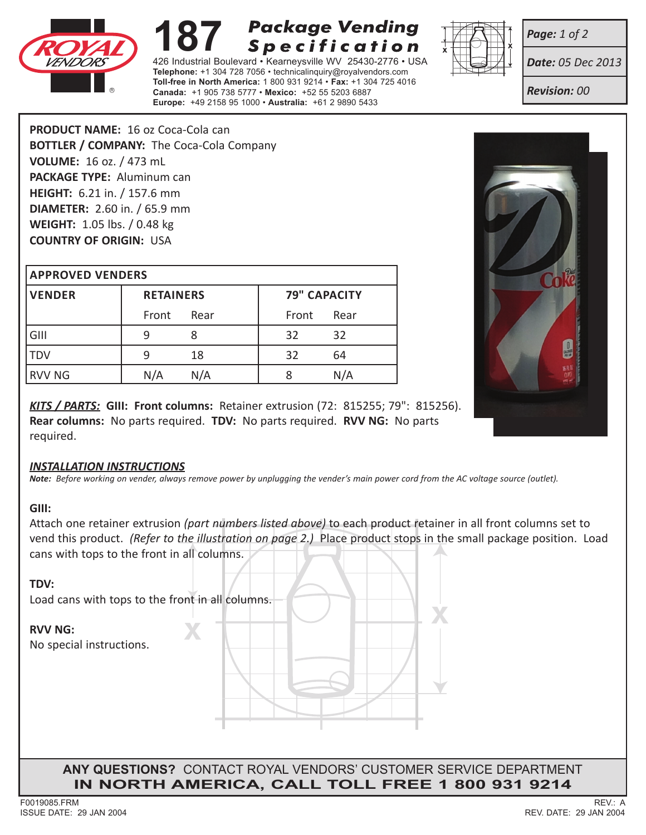

# **Package Vending 187 Package Vending<br>426 Industrial Boulevard • Kearneysville WV 25430-2776 • US Specification**

**Telephone:** +1 304 728 7056 • technicalinquiry@royalvendors.com **Toll-free in North America:** 1 800 931 9214 • **Fax:** +1 304 725 4016 **Canada:** +1 905 738 5777 • **Mexico:** +52 55 5203 6887 **Europe:** +49 2158 95 1000 • **Australia:** +61 2 9890 5433



*Page: 1 of 2*

*Date: 05 Dec 2013*

*Revision: 00*

**PRODUCT NAME:** 16 oz Coca-Cola can **BOTTLER / COMPANY:** The Coca-Cola Company **VOLUME:** 16 oz. / 473 mL **PACKAGE TYPE:** Aluminum can **HEIGHT:** 6.21 in. / 157.6 mm **DIAMETER:** 2.60 in. / 65.9 mm **WEIGHT:** 1.05 lbs. / 0.48 kg **COUNTRY OF ORIGIN:** USA

## **Approved Vender s**

| <b>VENDER</b> | <b>RETAINERS</b> |      | <b>79" CAPACITY</b> |      |  |
|---------------|------------------|------|---------------------|------|--|
|               | Front            | Rear | Front               | Rear |  |
| GIII          | q                |      | 32                  | 32   |  |
| TDV           | q                | 18   | 32                  | 64   |  |
| RVV NG        | N/A              | N/A  |                     | N/A  |  |



*KITS / PARTS:* **GIII: Front columns:** Retainer extrusion (72: 815255; 79": 815256). **Rear columns:** No parts required. **TDV:** No parts required. **RVV NG:** No parts required.

#### *INSTALLATION INSTRUCTIONS*

*Note: Before working on vender, always remove power by unplugging the vender's main power cord from the AC voltage source (outlet).*

### **GIII:**

Attach one retainer extrusion *(part numbers listed above)* to each product retainer in all front columns set to vend this product. *(Refer to the illustration on page 2.)* Place product stops in the small package position. Load cans with tops to the front in all columns.

### **TDV:**

**<sup>X</sup> <sup>X</sup>** Load cans with tops to the front in all columns.

### **RVV NG:**

No special instructions.

**ANY QUESTIONS?** CONTACT ROYAL VENDORS' CUSTOMER SERVICE DEPARTMENT **in north america, Call Toll Free 1 800 931 9214**